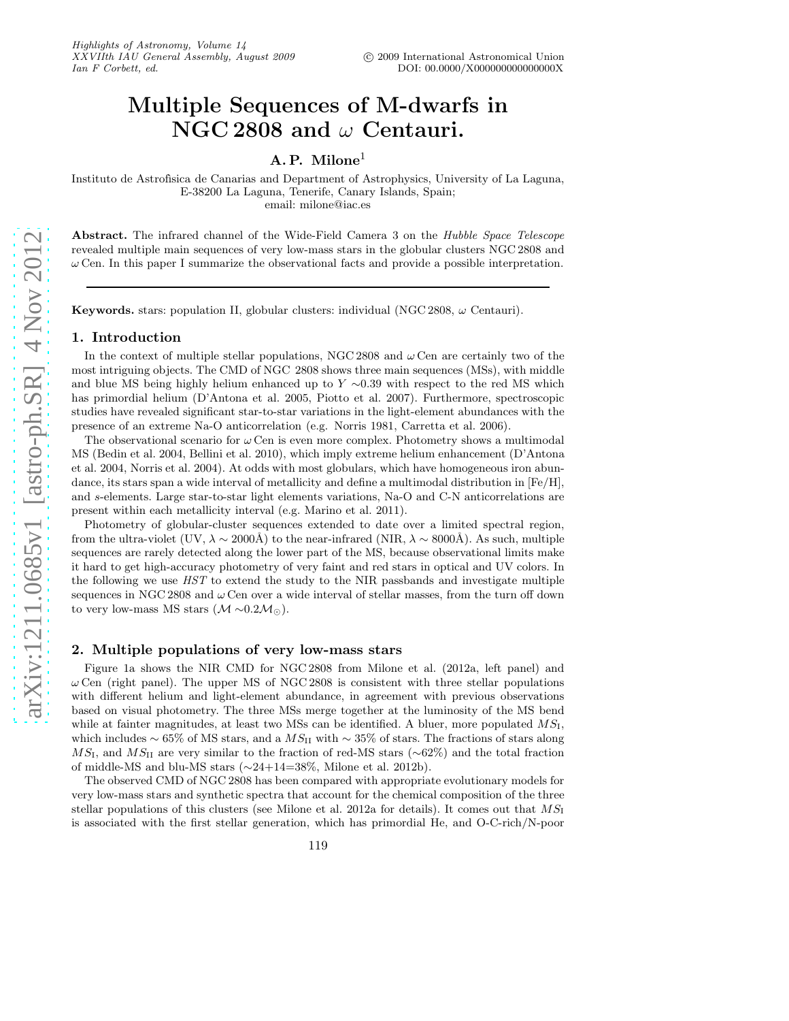# Multiple Sequences of M-dwarfs in NGC 2808 and  $\omega$  Centauri.

# A. P. Milone<sup>1</sup>

Instituto de Astrofísica de Canarias and Department of Astrophysics, University of La Laguna, E-38200 La Laguna, Tenerife, Canary Islands, Spain; email: milone@iac.es

Abstract. The infrared channel of the Wide-Field Camera 3 on the Hubble Space Telescope revealed multiple main sequences of very low-mass stars in the globular clusters NGC 2808 and  $\omega$  Cen. In this paper I summarize the observational facts and provide a possible interpretation.

Keywords. stars: population II, globular clusters: individual (NGC 2808,  $\omega$  Centauri).

## 1. Introduction

In the context of multiple stellar populations, NGC 2808 and  $\omega$  Cen are certainly two of the most intriguing objects. The CMD of NGC 2808 shows three main sequences (MSs), with middle and blue MS being highly helium enhanced up to  $Y \sim 0.39$  with respect to the red MS which has primordial helium (D'Antona et al. 2005, Piotto et al. 2007). Furthermore, spectroscopic studies have revealed significant star-to-star variations in the light-element abundances with the presence of an extreme Na-O anticorrelation (e.g. Norris 1981, Carretta et al. 2006).

The observational scenario for  $\omega$  Cen is even more complex. Photometry shows a multimodal MS (Bedin et al. 2004, Bellini et al. 2010), which imply extreme helium enhancement (D'Antona et al. 2004, Norris et al. 2004). At odds with most globulars, which have homogeneous iron abundance, its stars span a wide interval of metallicity and define a multimodal distribution in  $[Fe/H]$ , and s-elements. Large star-to-star light elements variations, Na-O and C-N anticorrelations are present within each metallicity interval (e.g. Marino et al. 2011).

Photometry of globular-cluster sequences extended to date over a limited spectral region, from the ultra-violet (UV,  $\lambda \sim 2000\text{\AA}$ ) to the near-infrared (NIR,  $\lambda \sim 8000\text{\AA}$ ). As such, multiple sequences are rarely detected along the lower part of the MS, because observational limits make it hard to get high-accuracy photometry of very faint and red stars in optical and UV colors. In the following we use HST to extend the study to the NIR passbands and investigate multiple sequences in NGC 2808 and  $\omega$  Cen over a wide interval of stellar masses, from the turn off down to very low-mass MS stars  $(\mathcal{M} \sim 0.2 \mathcal{M}_{\odot})$ .

### 2. Multiple populations of very low-mass stars

Figure 1a shows the NIR CMD for NGC 2808 from Milone et al. (2012a, left panel) and  $\omega$  Cen (right panel). The upper MS of NGC 2808 is consistent with three stellar populations with different helium and light-element abundance, in agreement with previous observations based on visual photometry. The three MSs merge together at the luminosity of the MS bend while at fainter magnitudes, at least two MSs can be identified. A bluer, more populated  $MS<sub>I</sub>$ , which includes  $\sim$  65% of MS stars, and a  $MS_{II}$  with  $\sim$  35% of stars. The fractions of stars along MS<sub>I</sub>, and MS<sub>II</sub> are very similar to the fraction of red-MS stars ( $\sim$ 62%) and the total fraction of middle-MS and blu-MS stars (∼24+14=38%, Milone et al. 2012b).

The observed CMD of NGC 2808 has been compared with appropriate evolutionary models for very low-mass stars and synthetic spectra that account for the chemical composition of the three stellar populations of this clusters (see Milone et al. 2012a for details). It comes out that  $MS_I$ is associated with the first stellar generation, which has primordial He, and O-C-rich/N-poor